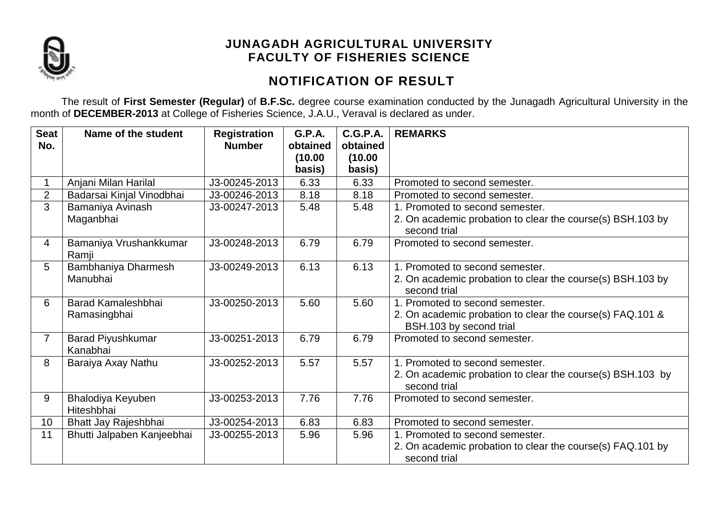

# **NOTIFICATION OF RESULT**

The result of **First Semester (Regular)** of **B.F.Sc.** degree course examination conducted by the Junagadh Agricultural University in the month of **DECEMBER-2013** at College of Fisheries Science, J.A.U., Veraval is declared as under.

| <b>Seat</b><br>No. | Name of the student                  | <b>Registration</b><br><b>Number</b> | <b>G.P.A.</b><br>obtained | C.G.P.A.<br>obtained | <b>REMARKS</b>                                                                       |
|--------------------|--------------------------------------|--------------------------------------|---------------------------|----------------------|--------------------------------------------------------------------------------------|
|                    |                                      |                                      | (10.00)                   | (10.00)              |                                                                                      |
|                    |                                      |                                      | basis)                    | basis)               |                                                                                      |
|                    | Anjani Milan Harilal                 | J3-00245-2013                        | 6.33                      | 6.33                 | Promoted to second semester.                                                         |
| $\overline{2}$     | Badarsai Kinjal Vinodbhai            | J3-00246-2013                        | 8.18                      | 8.18                 | Promoted to second semester.                                                         |
| $\overline{3}$     | Bamaniya Avinash                     | J3-00247-2013                        | 5.48                      | 5.48                 | 1. Promoted to second semester.                                                      |
|                    | Maganbhai                            |                                      |                           |                      | 2. On academic probation to clear the course(s) BSH.103 by<br>second trial           |
| $\overline{4}$     | Bamaniya Vrushankkumar<br>Ramji      | J3-00248-2013                        | 6.79                      | 6.79                 | Promoted to second semester.                                                         |
| 5                  | Bambhaniya Dharmesh                  | J3-00249-2013                        | 6.13                      | 6.13                 | 1. Promoted to second semester.                                                      |
|                    | Manubhai                             |                                      |                           |                      | 2. On academic probation to clear the course(s) BSH.103 by<br>second trial           |
| 6                  | <b>Barad Kamaleshbhai</b>            | J3-00250-2013                        | 5.60                      | 5.60                 | 1. Promoted to second semester.                                                      |
|                    | Ramasingbhai                         |                                      |                           |                      | 2. On academic probation to clear the course(s) FAQ.101 &<br>BSH.103 by second trial |
| $\overline{7}$     | <b>Barad Piyushkumar</b><br>Kanabhai | J3-00251-2013                        | 6.79                      | 6.79                 | Promoted to second semester.                                                         |
| 8                  | Baraiya Axay Nathu                   | J3-00252-2013                        | 5.57                      | 5.57                 | 1. Promoted to second semester.                                                      |
|                    |                                      |                                      |                           |                      | 2. On academic probation to clear the course(s) BSH.103 by<br>second trial           |
| 9                  | Bhalodiya Keyuben<br>Hiteshbhai      | J3-00253-2013                        | 7.76                      | 7.76                 | Promoted to second semester.                                                         |
| 10                 | Bhatt Jay Rajeshbhai                 | J3-00254-2013                        | 6.83                      | 6.83                 | Promoted to second semester.                                                         |
| 11                 | Bhutti Jalpaben Kanjeebhai           | J3-00255-2013                        | 5.96                      | 5.96                 | 1. Promoted to second semester.                                                      |
|                    |                                      |                                      |                           |                      | 2. On academic probation to clear the course(s) FAQ.101 by<br>second trial           |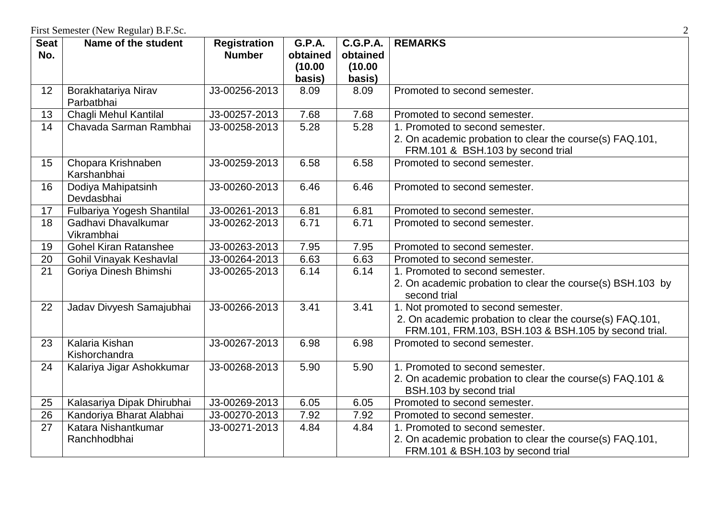| <b>Seat</b> | Name of the student               | <b>Registration</b> | <b>G.P.A.</b> | <b>C.G.P.A.</b> | <b>REMARKS</b>                                                                                                   |
|-------------|-----------------------------------|---------------------|---------------|-----------------|------------------------------------------------------------------------------------------------------------------|
| No.         |                                   | <b>Number</b>       | obtained      | obtained        |                                                                                                                  |
|             |                                   |                     | (10.00)       | (10.00)         |                                                                                                                  |
|             |                                   |                     | basis)        | basis)          |                                                                                                                  |
| 12          | Borakhatariya Nirav<br>Parbatbhai | J3-00256-2013       | 8.09          | 8.09            | Promoted to second semester.                                                                                     |
| 13          | Chagli Mehul Kantilal             | J3-00257-2013       | 7.68          | 7.68            | Promoted to second semester.                                                                                     |
| 14          | Chavada Sarman Rambhai            | J3-00258-2013       | 5.28          | 5.28            | 1. Promoted to second semester.                                                                                  |
|             |                                   |                     |               |                 | 2. On academic probation to clear the course(s) FAQ.101,                                                         |
|             |                                   |                     |               |                 | FRM.101 & BSH.103 by second trial                                                                                |
| 15          | Chopara Krishnaben<br>Karshanbhai | J3-00259-2013       | 6.58          | 6.58            | Promoted to second semester.                                                                                     |
| 16          | Dodiya Mahipatsinh<br>Devdasbhai  | J3-00260-2013       | 6.46          | 6.46            | Promoted to second semester.                                                                                     |
| 17          | Fulbariya Yogesh Shantilal        | J3-00261-2013       | 6.81          | 6.81            | Promoted to second semester.                                                                                     |
| 18          | Gadhavi Dhavalkumar<br>Vikrambhai | J3-00262-2013       | 6.71          | 6.71            | Promoted to second semester.                                                                                     |
| 19          | <b>Gohel Kiran Ratanshee</b>      | J3-00263-2013       | 7.95          | 7.95            | Promoted to second semester.                                                                                     |
| 20          | Gohil Vinayak Keshavlal           | J3-00264-2013       | 6.63          | 6.63            | Promoted to second semester.                                                                                     |
| 21          | Goriya Dinesh Bhimshi             | J3-00265-2013       | 6.14          | 6.14            | 1. Promoted to second semester.                                                                                  |
|             |                                   |                     |               |                 | 2. On academic probation to clear the course(s) BSH.103 by<br>second trial                                       |
| 22          | Jadav Divyesh Samajubhai          | J3-00266-2013       | 3.41          | 3.41            | 1. Not promoted to second semester.                                                                              |
|             |                                   |                     |               |                 | 2. On academic probation to clear the course(s) FAQ.101,<br>FRM.101, FRM.103, BSH.103 & BSH.105 by second trial. |
| 23          | Kalaria Kishan                    | J3-00267-2013       | 6.98          | 6.98            | Promoted to second semester.                                                                                     |
|             | Kishorchandra                     |                     |               |                 |                                                                                                                  |
| 24          | Kalariya Jigar Ashokkumar         | J3-00268-2013       | 5.90          | 5.90            | 1. Promoted to second semester.                                                                                  |
|             |                                   |                     |               |                 | 2. On academic probation to clear the course(s) FAQ.101 &<br>BSH.103 by second trial                             |
| 25          | Kalasariya Dipak Dhirubhai        | J3-00269-2013       | 6.05          | 6.05            | Promoted to second semester.                                                                                     |
| 26          | Kandoriya Bharat Alabhai          | J3-00270-2013       | 7.92          | 7.92            | Promoted to second semester.                                                                                     |
| 27          | Katara Nishantkumar               | J3-00271-2013       | 4.84          | 4.84            | 1. Promoted to second semester.                                                                                  |
|             | Ranchhodbhai                      |                     |               |                 | 2. On academic probation to clear the course(s) FAQ.101,<br>FRM.101 & BSH.103 by second trial                    |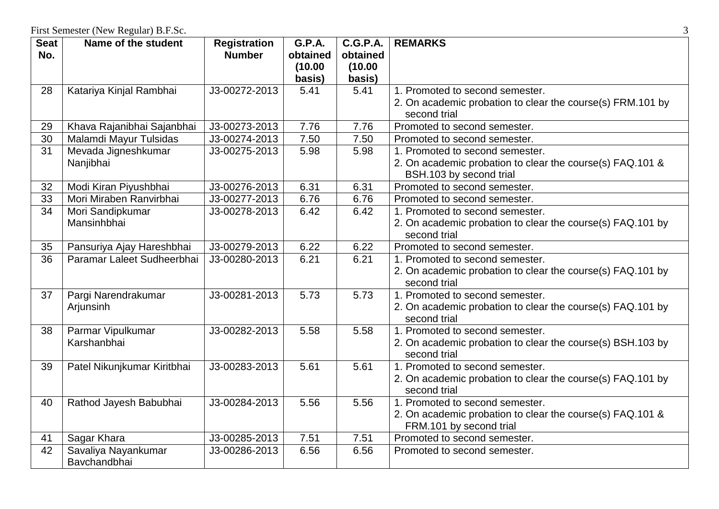| <b>Seat</b>     | Name of the student         | <b>Registration</b> | <b>G.P.A.</b> | <b>C.G.P.A.</b> | <b>REMARKS</b>                                             |
|-----------------|-----------------------------|---------------------|---------------|-----------------|------------------------------------------------------------|
| No.             |                             | <b>Number</b>       | obtained      | obtained        |                                                            |
|                 |                             |                     | (10.00)       | (10.00)         |                                                            |
|                 |                             |                     | basis)        | basis)          |                                                            |
| 28              | Katariya Kinjal Rambhai     | J3-00272-2013       | 5.41          | 5.41            | 1. Promoted to second semester.                            |
|                 |                             |                     |               |                 | 2. On academic probation to clear the course(s) FRM.101 by |
|                 |                             |                     |               |                 | second trial                                               |
| 29              | Khava Rajanibhai Sajanbhai  | J3-00273-2013       | 7.76          | 7.76            | Promoted to second semester.                               |
| 30              | Malamdi Mayur Tulsidas      | J3-00274-2013       | 7.50          | 7.50            | Promoted to second semester.                               |
| $\overline{31}$ | Mevada Jigneshkumar         | J3-00275-2013       | 5.98          | 5.98            | 1. Promoted to second semester.                            |
|                 | Nanjibhai                   |                     |               |                 | 2. On academic probation to clear the course(s) FAQ.101 &  |
|                 |                             |                     |               |                 | BSH.103 by second trial                                    |
| 32              | Modi Kiran Piyushbhai       | J3-00276-2013       | 6.31          | 6.31            | Promoted to second semester.                               |
| 33              | Mori Miraben Ranvirbhai     | J3-00277-2013       | 6.76          | 6.76            | Promoted to second semester.                               |
| 34              | Mori Sandipkumar            | J3-00278-2013       | 6.42          | 6.42            | 1. Promoted to second semester.                            |
|                 | Mansinhbhai                 |                     |               |                 | 2. On academic probation to clear the course(s) FAQ.101 by |
|                 |                             |                     |               |                 | second trial                                               |
| 35              | Pansuriya Ajay Hareshbhai   | J3-00279-2013       | 6.22          | 6.22            | Promoted to second semester.                               |
| 36              | Paramar Laleet Sudheerbhai  | J3-00280-2013       | 6.21          | 6.21            | 1. Promoted to second semester.                            |
|                 |                             |                     |               |                 | 2. On academic probation to clear the course(s) FAQ.101 by |
|                 |                             |                     |               |                 | second trial                                               |
| 37              | Pargi Narendrakumar         | J3-00281-2013       | 5.73          | 5.73            | 1. Promoted to second semester.                            |
|                 | Arjunsinh                   |                     |               |                 | 2. On academic probation to clear the course(s) FAQ.101 by |
|                 |                             |                     |               |                 | second trial                                               |
| 38              | Parmar Vipulkumar           | J3-00282-2013       | 5.58          | 5.58            | 1. Promoted to second semester.                            |
|                 | Karshanbhai                 |                     |               |                 | 2. On academic probation to clear the course(s) BSH.103 by |
|                 |                             |                     |               |                 | second trial                                               |
| 39              | Patel Nikunjkumar Kiritbhai | J3-00283-2013       | 5.61          | 5.61            | 1. Promoted to second semester.                            |
|                 |                             |                     |               |                 | 2. On academic probation to clear the course(s) FAQ.101 by |
|                 |                             |                     |               |                 | second trial                                               |
| 40              | Rathod Jayesh Babubhai      | J3-00284-2013       | 5.56          | 5.56            | 1. Promoted to second semester.                            |
|                 |                             |                     |               |                 | 2. On academic probation to clear the course(s) FAQ.101 &  |
|                 |                             |                     |               |                 | FRM.101 by second trial                                    |
| 41              | Sagar Khara                 | J3-00285-2013       | 7.51          | 7.51            | Promoted to second semester.                               |
| 42              | Savaliya Nayankumar         | J3-00286-2013       | 6.56          | 6.56            | Promoted to second semester.                               |
|                 | Bavchandbhai                |                     |               |                 |                                                            |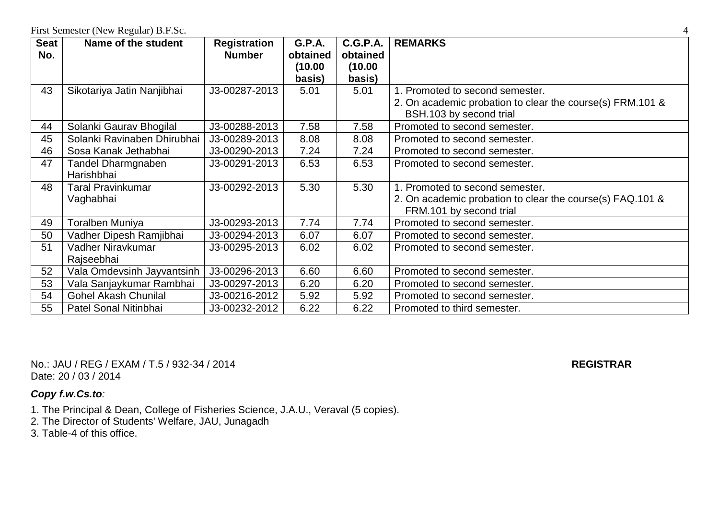| <b>Seat</b> | Name of the student         | <b>Registration</b> | <b>G.P.A.</b> | <b>C.G.P.A.</b> | <b>REMARKS</b>                                            |
|-------------|-----------------------------|---------------------|---------------|-----------------|-----------------------------------------------------------|
| No.         |                             | <b>Number</b>       | obtained      | obtained        |                                                           |
|             |                             |                     | (10.00        | (10.00          |                                                           |
|             |                             |                     | basis)        | basis)          |                                                           |
| 43          | Sikotariya Jatin Nanjibhai  | J3-00287-2013       | 5.01          | 5.01            | 1. Promoted to second semester.                           |
|             |                             |                     |               |                 | 2. On academic probation to clear the course(s) FRM.101 & |
|             |                             |                     |               |                 | BSH.103 by second trial                                   |
| 44          | Solanki Gaurav Bhogilal     | J3-00288-2013       | 7.58          | 7.58            | Promoted to second semester.                              |
| 45          | Solanki Ravinaben Dhirubhai | J3-00289-2013       | 8.08          | 8.08            | Promoted to second semester.                              |
| 46          | Sosa Kanak Jethabhai        | J3-00290-2013       | 7.24          | 7.24            | Promoted to second semester.                              |
| 47          | <b>Tandel Dharmgnaben</b>   | J3-00291-2013       | 6.53          | 6.53            | Promoted to second semester.                              |
|             | Harishbhai                  |                     |               |                 |                                                           |
| 48          | <b>Taral Pravinkumar</b>    | J3-00292-2013       | 5.30          | 5.30            | 1. Promoted to second semester.                           |
|             | Vaghabhai                   |                     |               |                 | 2. On academic probation to clear the course(s) FAQ.101 & |
|             |                             |                     |               |                 | FRM.101 by second trial                                   |
| 49          | <b>Toralben Muniya</b>      | J3-00293-2013       | 7.74          | 7.74            | Promoted to second semester.                              |
| 50          | Vadher Dipesh Ramjibhai     | J3-00294-2013       | 6.07          | 6.07            | Promoted to second semester.                              |
| 51          | Vadher Niravkumar           | J3-00295-2013       | 6.02          | 6.02            | Promoted to second semester.                              |
|             | Rajseebhai                  |                     |               |                 |                                                           |
| 52          | Vala Omdevsinh Jayvantsinh  | J3-00296-2013       | 6.60          | 6.60            | Promoted to second semester.                              |
| 53          | Vala Sanjaykumar Rambhai    | J3-00297-2013       | 6.20          | 6.20            | Promoted to second semester.                              |
| 54          | <b>Gohel Akash Chunilal</b> | J3-00216-2012       | 5.92          | 5.92            | Promoted to second semester.                              |
| 55          | Patel Sonal Nitinbhai       | J3-00232-2012       | 6.22          | 6.22            | Promoted to third semester.                               |

No.: JAU / REG / EXAM / T.5 / 932-34 / 2014 **REGISTRAR** Date: 20 / 03 / 2014

- 1. The Principal & Dean, College of Fisheries Science, J.A.U., Veraval (5 copies).
- 2. The Director of Students' Welfare, JAU, Junagadh
- 3. Table-4 of this office.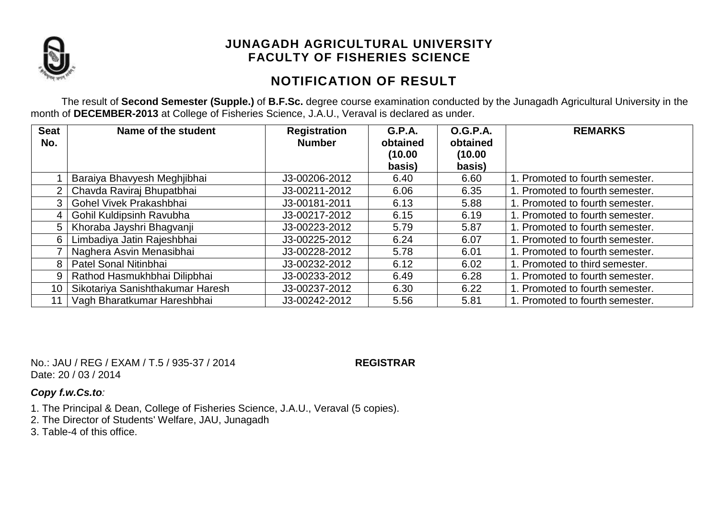

# **NOTIFICATION OF RESULT**

The result of **Second Semester (Supple.)** of **B.F.Sc.** degree course examination conducted by the Junagadh Agricultural University in the month of **DECEMBER-2013** at College of Fisheries Science, J.A.U., Veraval is declared as under.

| <b>Seat</b><br>No. | Name of the student              | <b>Registration</b><br><b>Number</b> | <b>G.P.A.</b><br>obtained | <b>O.G.P.A.</b><br>obtained | <b>REMARKS</b>                  |
|--------------------|----------------------------------|--------------------------------------|---------------------------|-----------------------------|---------------------------------|
|                    |                                  |                                      | (10.00)<br>basis)         | (10.00)<br>basis)           |                                 |
|                    | Baraiya Bhavyesh Meghjibhai      | J3-00206-2012                        | 6.40                      | 6.60                        | 1. Promoted to fourth semester. |
| $\overline{2}$     | Chavda Raviraj Bhupatbhai        | J3-00211-2012                        | 6.06                      | 6.35                        | 1. Promoted to fourth semester. |
| 3                  | Gohel Vivek Prakashbhai          | J3-00181-2011                        | 6.13                      | 5.88                        | 1. Promoted to fourth semester. |
| 4                  | Gohil Kuldipsinh Ravubha         | J3-00217-2012                        | 6.15                      | 6.19                        | 1. Promoted to fourth semester. |
| 5                  | Khoraba Jayshri Bhagvanji        | J3-00223-2012                        | 5.79                      | 5.87                        | 1. Promoted to fourth semester. |
| 6.                 | Limbadiya Jatin Rajeshbhai       | J3-00225-2012                        | 6.24                      | 6.07                        | 1. Promoted to fourth semester. |
|                    | Naghera Asvin Menasibhai         | J3-00228-2012                        | 5.78                      | 6.01                        | 1. Promoted to fourth semester. |
| 8                  | Patel Sonal Nitinbhai            | J3-00232-2012                        | 6.12                      | 6.02                        | 1. Promoted to third semester.  |
| 9                  | Rathod Hasmukhbhai Dilipbhai     | J3-00233-2012                        | 6.49                      | 6.28                        | 1. Promoted to fourth semester. |
| 10                 | Sikotariya Sanishthakumar Haresh | J3-00237-2012                        | 6.30                      | 6.22                        | 1. Promoted to fourth semester. |
|                    | Vagh Bharatkumar Hareshbhai      | J3-00242-2012                        | 5.56                      | 5.81                        | 1. Promoted to fourth semester. |

No.: JAU / REG / EXAM / T.5 / 935-37 / 2014 **REGISTRAR** Date: 20 / 03 / 2014

- 1. The Principal & Dean, College of Fisheries Science, J.A.U., Veraval (5 copies).
- 2. The Director of Students' Welfare, JAU, Junagadh
- 3. Table-4 of this office.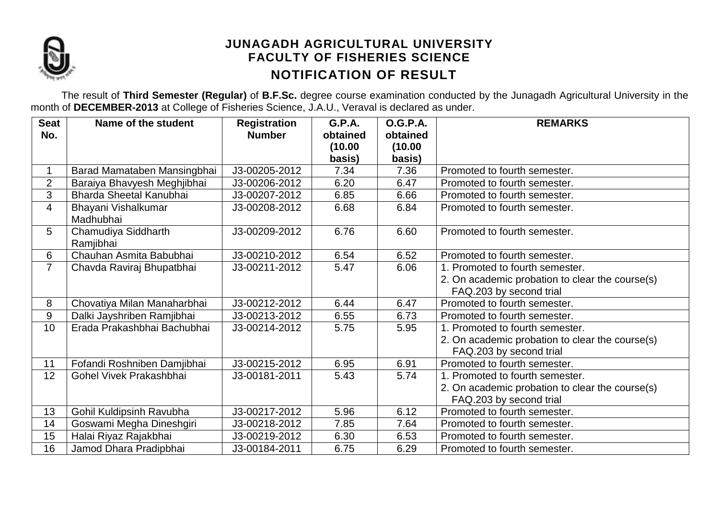

## **JUNAGADH AGRICULTURAL UNIVERSITY FACULTY OF FISHERIES SCIENCE NOTIFICATION OF RESULT**

The result of **Third Semester (Regular)** of **B.F.Sc.** degree course examination conducted by the Junagadh Agricultural University in the month of **DECEMBER-2013** at College of Fisheries Science, J.A.U., Veraval is declared as under.

| <b>Seat</b>    | Name of the student              | <b>Registration</b> | <b>G.P.A.</b>     | <b>O.G.P.A.</b>   | <b>REMARKS</b>                                  |
|----------------|----------------------------------|---------------------|-------------------|-------------------|-------------------------------------------------|
| No.            |                                  | <b>Number</b>       | obtained          | obtained          |                                                 |
|                |                                  |                     | (10.00)<br>basis) | (10.00)<br>basis) |                                                 |
|                | Barad Mamataben Mansingbhai      | J3-00205-2012       | 7.34              | 7.36              | Promoted to fourth semester.                    |
| $\overline{2}$ | Baraiya Bhavyesh Meghjibhai      | J3-00206-2012       | 6.20              | 6.47              | Promoted to fourth semester.                    |
| 3              | Bharda Sheetal Kanubhai          | J3-00207-2012       | 6.85              | 6.66              | Promoted to fourth semester.                    |
| 4              | Bhayani Vishalkumar<br>Madhubhai | J3-00208-2012       | 6.68              | 6.84              | Promoted to fourth semester.                    |
| 5              | Chamudiya Siddharth<br>Ramjibhai | J3-00209-2012       | 6.76              | 6.60              | Promoted to fourth semester.                    |
| 6              | Chauhan Asmita Babubhai          | J3-00210-2012       | 6.54              | 6.52              | Promoted to fourth semester.                    |
| 7              | Chavda Raviraj Bhupatbhai        | J3-00211-2012       | 5.47              | 6.06              | 1. Promoted to fourth semester.                 |
|                |                                  |                     |                   |                   | 2. On academic probation to clear the course(s) |
|                |                                  |                     |                   |                   | FAQ.203 by second trial                         |
| 8              | Chovatiya Milan Manaharbhai      | J3-00212-2012       | 6.44              | 6.47              | Promoted to fourth semester.                    |
| 9              | Dalki Jayshriben Ramjibhai       | J3-00213-2012       | 6.55              | 6.73              | Promoted to fourth semester.                    |
| 10             | Erada Prakashbhai Bachubhai      | J3-00214-2012       | 5.75              | 5.95              | 1. Promoted to fourth semester.                 |
|                |                                  |                     |                   |                   | 2. On academic probation to clear the course(s) |
|                |                                  |                     |                   |                   | FAQ.203 by second trial                         |
| 11             | Fofandi Roshniben Damjibhai      | J3-00215-2012       | 6.95              | 6.91              | Promoted to fourth semester.                    |
| 12             | Gohel Vivek Prakashbhai          | J3-00181-2011       | 5.43              | 5.74              | 1. Promoted to fourth semester.                 |
|                |                                  |                     |                   |                   | 2. On academic probation to clear the course(s) |
|                |                                  |                     |                   |                   | FAQ.203 by second trial                         |
| 13             | Gohil Kuldipsinh Ravubha         | J3-00217-2012       | 5.96              | 6.12              | Promoted to fourth semester.                    |
| 14             | Goswami Megha Dineshgiri         | J3-00218-2012       | 7.85              | 7.64              | Promoted to fourth semester.                    |
| 15             | Halai Riyaz Rajakbhai            | J3-00219-2012       | 6.30              | 6.53              | Promoted to fourth semester.                    |
| 16             | Jamod Dhara Pradipbhai           | J3-00184-2011       | 6.75              | 6.29              | Promoted to fourth semester.                    |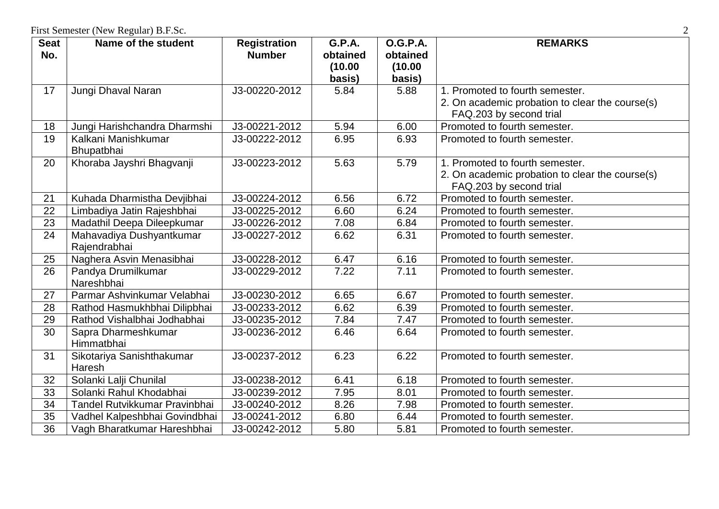| <b>Seat</b> | Name of the student                      | <b>Registration</b> | <b>G.P.A.</b>       | <b>O.G.P.A.</b>     | <b>REMARKS</b>                                  |
|-------------|------------------------------------------|---------------------|---------------------|---------------------|-------------------------------------------------|
| No.         |                                          | <b>Number</b>       | obtained<br>(10.00) | obtained<br>(10.00) |                                                 |
|             |                                          |                     | basis)              | basis)              |                                                 |
| 17          | Jungi Dhaval Naran                       | J3-00220-2012       | 5.84                | 5.88                | 1. Promoted to fourth semester.                 |
|             |                                          |                     |                     |                     | 2. On academic probation to clear the course(s) |
|             |                                          |                     |                     |                     | FAQ.203 by second trial                         |
| 18          | Jungi Harishchandra Dharmshi             | J3-00221-2012       | 5.94                | 6.00                | Promoted to fourth semester.                    |
| 19          | Kalkani Manishkumar                      | J3-00222-2012       | 6.95                | 6.93                | Promoted to fourth semester.                    |
|             | Bhupatbhai                               |                     |                     |                     |                                                 |
| 20          | Khoraba Jayshri Bhagvanji                | J3-00223-2012       | 5.63                | 5.79                | 1. Promoted to fourth semester.                 |
|             |                                          |                     |                     |                     | 2. On academic probation to clear the course(s) |
|             |                                          |                     |                     |                     | FAQ.203 by second trial                         |
| 21<br>22    | Kuhada Dharmistha Devjibhai              | J3-00224-2012       | 6.56                | 6.72                | Promoted to fourth semester.                    |
|             | Limbadiya Jatin Rajeshbhai               | J3-00225-2012       | 6.60                | 6.24                | Promoted to fourth semester.                    |
| 23          | Madathil Deepa Dileepkumar               | J3-00226-2012       | 7.08                | 6.84                | Promoted to fourth semester.                    |
| 24          | Mahavadiya Dushyantkumar<br>Rajendrabhai | J3-00227-2012       | 6.62                | 6.31                | Promoted to fourth semester.                    |
| 25          | Naghera Asvin Menasibhai                 | J3-00228-2012       | 6.47                | 6.16                | Promoted to fourth semester.                    |
| 26          | Pandya Drumilkumar<br>Nareshbhai         | J3-00229-2012       | 7.22                | 7.11                | Promoted to fourth semester.                    |
| 27          | Parmar Ashvinkumar Velabhai              | J3-00230-2012       | 6.65                | 6.67                | Promoted to fourth semester.                    |
| 28          | Rathod Hasmukhbhai Dilipbhai             | J3-00233-2012       | 6.62                | 6.39                | Promoted to fourth semester.                    |
| 29          | Rathod Vishalbhai Jodhabhai              | J3-00235-2012       | 7.84                | 7.47                | Promoted to fourth semester.                    |
| 30          | Sapra Dharmeshkumar                      | J3-00236-2012       | 6.46                | 6.64                | Promoted to fourth semester.                    |
|             | Himmatbhai                               |                     |                     |                     |                                                 |
| 31          | Sikotariya Sanishthakumar                | J3-00237-2012       | 6.23                | 6.22                | Promoted to fourth semester.                    |
|             | Haresh                                   |                     |                     |                     |                                                 |
| 32          | Solanki Lalji Chunilal                   | J3-00238-2012       | 6.41                | 6.18                | Promoted to fourth semester.                    |
| 33          | Solanki Rahul Khodabhai                  | J3-00239-2012       | 7.95                | 8.01                | Promoted to fourth semester.                    |
| 34          | Tandel Rutvikkumar Pravinbhai            | J3-00240-2012       | 8.26                | 7.98                | Promoted to fourth semester.                    |
| 35          | Vadhel Kalpeshbhai Govindbhai            | J3-00241-2012       | 6.80                | 6.44                | Promoted to fourth semester.                    |
| 36          | Vagh Bharatkumar Hareshbhai              | J3-00242-2012       | 5.80                | 5.81                | Promoted to fourth semester.                    |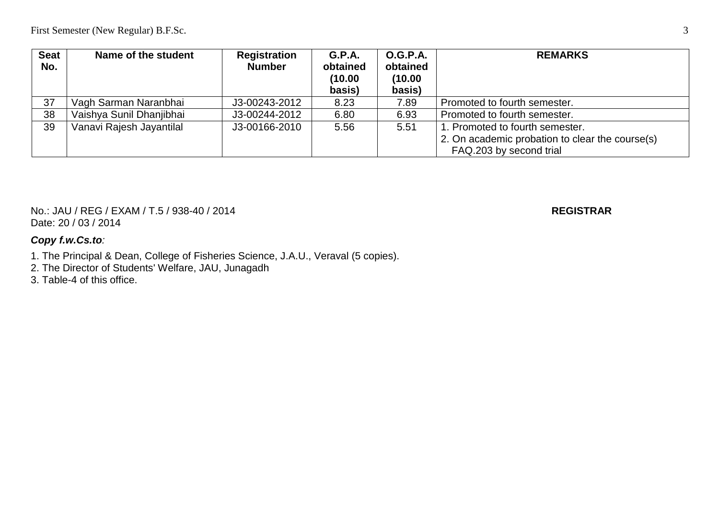| <b>Seat</b><br>No. | Name of the student      | <b>Registration</b><br><b>Number</b> | <b>G.P.A.</b><br>obtained<br>(10.00)<br>basis) | <b>O.G.P.A.</b><br>obtained<br>(10.00)<br>basis) | <b>REMARKS</b>                                  |
|--------------------|--------------------------|--------------------------------------|------------------------------------------------|--------------------------------------------------|-------------------------------------------------|
| 37                 | Vagh Sarman Naranbhai    | J3-00243-2012                        | 8.23                                           | 7.89                                             | Promoted to fourth semester.                    |
| 38                 | Vaishya Sunil Dhanjibhai | J3-00244-2012                        | 6.80                                           | 6.93                                             | Promoted to fourth semester.                    |
| 39                 | Vanavi Rajesh Jayantilal | J3-00166-2010                        | 5.56                                           | 5.51                                             | 1. Promoted to fourth semester.                 |
|                    |                          |                                      |                                                |                                                  | 2. On academic probation to clear the course(s) |
|                    |                          |                                      |                                                |                                                  | FAQ.203 by second trial                         |

No.: JAU / REG / EXAM / T.5 / 938-40 / 2014 **REGISTRAR** Date: 20 / 03 / 2014

- 1. The Principal & Dean, College of Fisheries Science, J.A.U., Veraval (5 copies).
- 2. The Director of Students' Welfare, JAU, Junagadh
- 3. Table-4 of this office.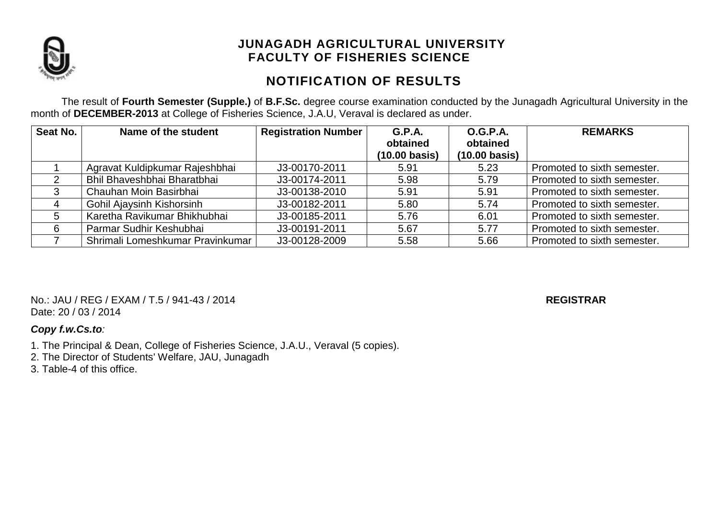

# **NOTIFICATION OF RESULTS**

The result of **Fourth Semester (Supple.)** of **B.F.Sc.** degree course examination conducted by the Junagadh Agricultural University in the month of **DECEMBER-2013** at College of Fisheries Science, J.A.U, Veraval is declared as under.

| Seat No. | Name of the student              | <b>Registration Number</b> | G.P.A.<br>obtained<br>$(10.00 \text{ basis})$ | O.G.P.A.<br>obtained<br>$(10.00 \text{ basis})$ | <b>REMARKS</b>              |
|----------|----------------------------------|----------------------------|-----------------------------------------------|-------------------------------------------------|-----------------------------|
|          | Agravat Kuldipkumar Rajeshbhai   | J3-00170-2011              | 5.91                                          | 5.23                                            | Promoted to sixth semester. |
| 2        | Bhil Bhaveshbhai Bharatbhai      | J3-00174-2011              | 5.98                                          | 5.79                                            | Promoted to sixth semester. |
|          | Chauhan Moin Basirbhai           | J3-00138-2010              | 5.91                                          | 5.91                                            | Promoted to sixth semester. |
|          | Gohil Ajaysinh Kishorsinh        | J3-00182-2011              | 5.80                                          | 5.74                                            | Promoted to sixth semester. |
| 5        | Karetha Ravikumar Bhikhubhai     | J3-00185-2011              | 5.76                                          | 6.01                                            | Promoted to sixth semester. |
| 6        | Parmar Sudhir Keshubhai          | J3-00191-2011              | 5.67                                          | 5.77                                            | Promoted to sixth semester. |
|          | Shrimali Lomeshkumar Pravinkumar | J3-00128-2009              | 5.58                                          | 5.66                                            | Promoted to sixth semester. |

No.: JAU / REG / EXAM / T.5 / 941-43 / 2014 **REGISTRAR** Date: 20 / 03 / 2014

- 1. The Principal & Dean, College of Fisheries Science, J.A.U., Veraval (5 copies).
- 2. The Director of Students' Welfare, JAU, Junagadh
- 3. Table-4 of this office.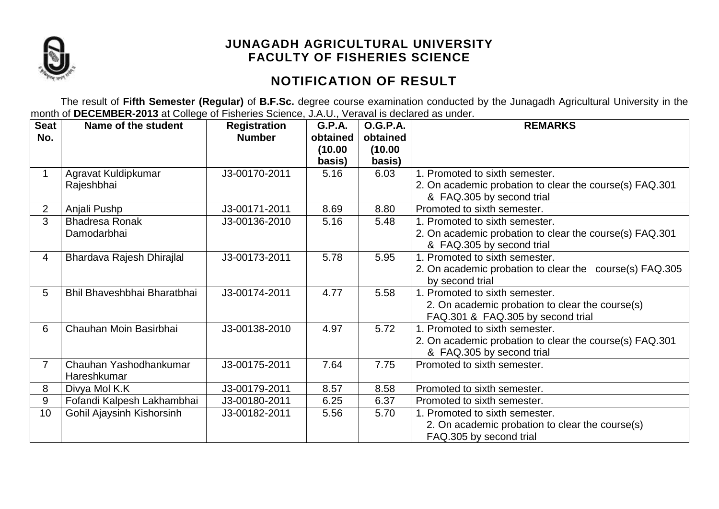

# **NOTIFICATION OF RESULT**

The result of **Fifth Semester (Regular)** of **B.F.Sc.** degree course examination conducted by the Junagadh Agricultural University in the month of **DECEMBER-2013** at College of Fisheries Science, J.A.U., Veraval is declared as under.

| <b>Seat</b>     | Name of the student         | <b>Registration</b> | <b>G.P.A.</b> | <b>O.G.P.A.</b> | <b>REMARKS</b>                                          |
|-----------------|-----------------------------|---------------------|---------------|-----------------|---------------------------------------------------------|
| No.             |                             | <b>Number</b>       | obtained      | obtained        |                                                         |
|                 |                             |                     | (10.00        | (10.00)         |                                                         |
|                 |                             |                     | basis)        | basis)          |                                                         |
|                 | Agravat Kuldipkumar         | J3-00170-2011       | 5.16          | 6.03            | 1. Promoted to sixth semester.                          |
|                 | Rajeshbhai                  |                     |               |                 | 2. On academic probation to clear the course(s) FAQ.301 |
|                 |                             |                     |               |                 | & FAQ.305 by second trial                               |
| $\overline{2}$  | Anjali Pushp                | J3-00171-2011       | 8.69          | 8.80            | Promoted to sixth semester.                             |
| 3               | <b>Bhadresa Ronak</b>       | J3-00136-2010       | 5.16          | 5.48            | 1. Promoted to sixth semester.                          |
|                 | Damodarbhai                 |                     |               |                 | 2. On academic probation to clear the course(s) FAQ.301 |
|                 |                             |                     |               |                 | & FAQ.305 by second trial                               |
| 4               | Bhardava Rajesh Dhirajlal   | J3-00173-2011       | 5.78          | 5.95            | 1. Promoted to sixth semester.                          |
|                 |                             |                     |               |                 | 2. On academic probation to clear the course(s) FAQ.305 |
|                 |                             |                     |               |                 | by second trial                                         |
| 5               | Bhil Bhaveshbhai Bharatbhai | J3-00174-2011       | 4.77          | 5.58            | 1. Promoted to sixth semester.                          |
|                 |                             |                     |               |                 | 2. On academic probation to clear the course(s)         |
|                 |                             |                     |               |                 | FAQ.301 & FAQ.305 by second trial                       |
| 6               | Chauhan Moin Basirbhai      | J3-00138-2010       | 4.97          | 5.72            | 1. Promoted to sixth semester.                          |
|                 |                             |                     |               |                 | 2. On academic probation to clear the course(s) FAQ.301 |
|                 |                             |                     |               |                 | & FAQ.305 by second trial                               |
| $\overline{7}$  | Chauhan Yashodhankumar      | J3-00175-2011       | 7.64          | 7.75            | Promoted to sixth semester.                             |
|                 | Hareshkumar                 |                     |               |                 |                                                         |
| 8               | Divya Mol K.K               | J3-00179-2011       | 8.57          | 8.58            | Promoted to sixth semester.                             |
| 9               | Fofandi Kalpesh Lakhambhai  | J3-00180-2011       | 6.25          | 6.37            | Promoted to sixth semester.                             |
| 10 <sup>1</sup> | Gohil Ajaysinh Kishorsinh   | J3-00182-2011       | 5.56          | 5.70            | 1. Promoted to sixth semester.                          |
|                 |                             |                     |               |                 | 2. On academic probation to clear the course(s)         |
|                 |                             |                     |               |                 | FAQ.305 by second trial                                 |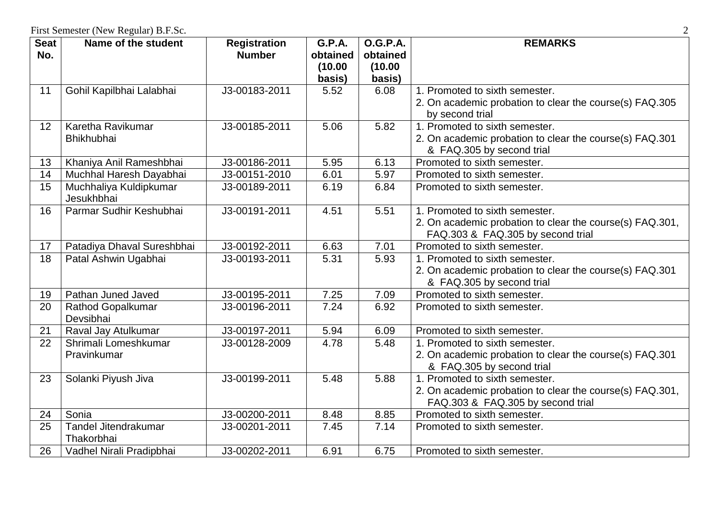| <b>Seat</b><br>No. | Name of the student                   | <b>Registration</b><br><b>Number</b> | <b>G.P.A.</b><br>obtained | <b>O.G.P.A.</b><br>obtained | <b>REMARKS</b>                                                                                |
|--------------------|---------------------------------------|--------------------------------------|---------------------------|-----------------------------|-----------------------------------------------------------------------------------------------|
|                    |                                       |                                      | (10.00)<br>basis)         | (10.00)<br>basis)           |                                                                                               |
| 11                 | Gohil Kapilbhai Lalabhai              | J3-00183-2011                        | 5.52                      | 6.08                        | 1. Promoted to sixth semester.<br>2. On academic probation to clear the course(s) FAQ.305     |
|                    |                                       |                                      |                           |                             | by second trial                                                                               |
| 12                 | Karetha Ravikumar                     | J3-00185-2011                        | 5.06                      | 5.82                        | 1. Promoted to sixth semester.                                                                |
|                    | <b>Bhikhubhai</b>                     |                                      |                           |                             | 2. On academic probation to clear the course(s) FAQ.301<br>& FAQ.305 by second trial          |
| 13                 | Khaniya Anil Rameshbhai               | J3-00186-2011                        | 5.95                      | 6.13                        | Promoted to sixth semester.                                                                   |
| 14                 | Muchhal Haresh Dayabhai               | J3-00151-2010                        | 6.01                      | 5.97                        | Promoted to sixth semester.                                                                   |
| $\overline{15}$    | Muchhaliya Kuldipkumar<br>Jesukhbhai  | J3-00189-2011                        | 6.19                      | 6.84                        | Promoted to sixth semester.                                                                   |
| 16                 | Parmar Sudhir Keshubhai               | J3-00191-2011                        | 4.51                      | 5.51                        | 1. Promoted to sixth semester.                                                                |
|                    |                                       |                                      |                           |                             | 2. On academic probation to clear the course(s) FAQ.301,<br>FAQ.303 & FAQ.305 by second trial |
| 17                 | Patadiya Dhaval Sureshbhai            | J3-00192-2011                        | 6.63                      | 7.01                        | Promoted to sixth semester.                                                                   |
| $\overline{18}$    | Patal Ashwin Ugabhai                  | J3-00193-2011                        | 5.31                      | 5.93                        | 1. Promoted to sixth semester.                                                                |
|                    |                                       |                                      |                           |                             | 2. On academic probation to clear the course(s) FAQ.301<br>& FAQ.305 by second trial          |
| 19                 | Pathan Juned Javed                    | J3-00195-2011                        | 7.25                      | 7.09                        | Promoted to sixth semester.                                                                   |
| 20                 | <b>Rathod Gopalkumar</b><br>Devsibhai | J3-00196-2011                        | 7.24                      | 6.92                        | Promoted to sixth semester.                                                                   |
| 21                 | Raval Jay Atulkumar                   | J3-00197-2011                        | 5.94                      | 6.09                        | Promoted to sixth semester.                                                                   |
| 22                 | Shrimali Lomeshkumar                  | J3-00128-2009                        | 4.78                      | 5.48                        | 1. Promoted to sixth semester.                                                                |
|                    | Pravinkumar                           |                                      |                           |                             | 2. On academic probation to clear the course(s) FAQ.301<br>& FAQ.305 by second trial          |
| 23                 | Solanki Piyush Jiva                   | J3-00199-2011                        | 5.48                      | 5.88                        | 1. Promoted to sixth semester.                                                                |
|                    |                                       |                                      |                           |                             | 2. On academic probation to clear the course(s) FAQ.301,<br>FAQ.303 & FAQ.305 by second trial |
| 24                 | Sonia                                 | J3-00200-2011                        | 8.48                      | 8.85                        | Promoted to sixth semester.                                                                   |
| 25                 | Tandel Jitendrakumar<br>Thakorbhai    | J3-00201-2011                        | 7.45                      | 7.14                        | Promoted to sixth semester.                                                                   |
| 26                 | Vadhel Nirali Pradipbhai              | J3-00202-2011                        | 6.91                      | 6.75                        | Promoted to sixth semester.                                                                   |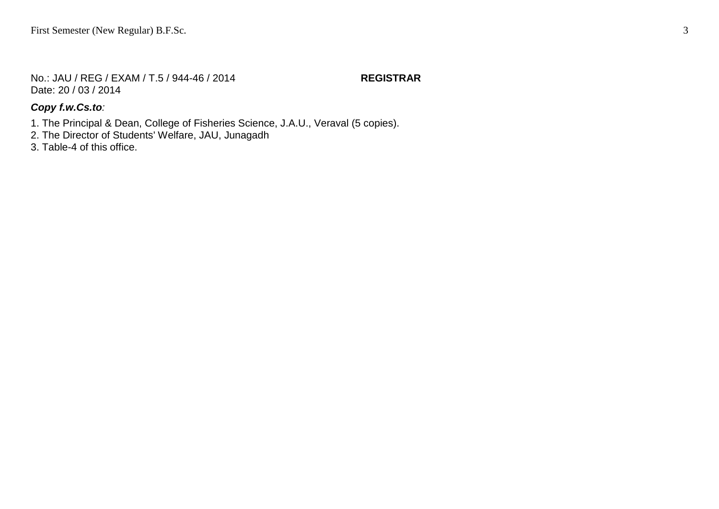No.: JAU / REG / EXAM / T.5 / 944-46 / 2014 **REGISTRAR** Date: 20 / 03 / 2014

#### *Copy f.w.Cs.to:*

1. The Principal & Dean, College of Fisheries Science, J.A.U., Veraval (5 copies).

- 2. The Director of Students' Welfare, JAU, Junagadh
- 3. Table-4 of this office.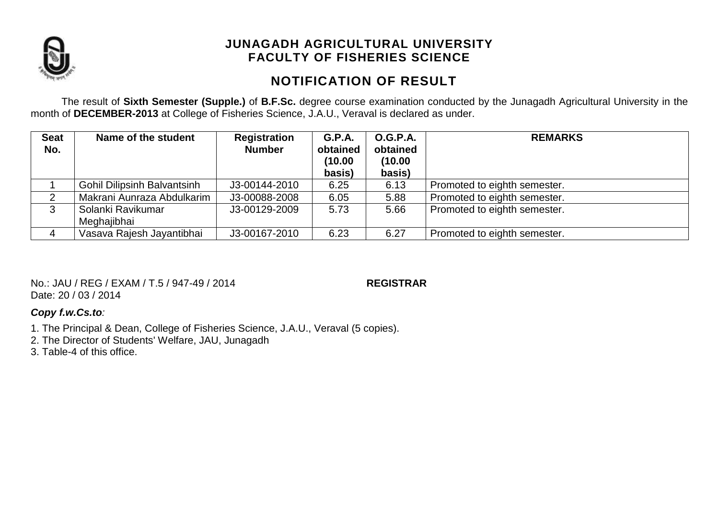

# **NOTIFICATION OF RESULT**

The result of **Sixth Semester (Supple.)** of **B.F.Sc.** degree course examination conducted by the Junagadh Agricultural University in the month of **DECEMBER-2013** at College of Fisheries Science, J.A.U., Veraval is declared as under.

| <b>Seat</b><br>No. | Name of the student                | Registration<br><b>Number</b> | <b>G.P.A.</b><br>obtained<br>(10.00<br>basis) | <b>O.G.P.A.</b><br>obtained<br>(10.00)<br>basis) | <b>REMARKS</b>               |
|--------------------|------------------------------------|-------------------------------|-----------------------------------------------|--------------------------------------------------|------------------------------|
|                    | <b>Gohil Dilipsinh Balvantsinh</b> | J3-00144-2010                 | 6.25                                          | 6.13                                             | Promoted to eighth semester. |
|                    | Makrani Aunraza Abdulkarim         | J3-00088-2008                 | 6.05                                          | 5.88                                             | Promoted to eighth semester. |
| 3                  | Solanki Ravikumar<br>Meghajibhai   | J3-00129-2009                 | 5.73                                          | 5.66                                             | Promoted to eighth semester. |
|                    | Vasava Rajesh Jayantibhai          | J3-00167-2010                 | 6.23                                          | 6.27                                             | Promoted to eighth semester. |

No.: JAU / REG / EXAM / T.5 / 947-49 / 2014 **REGISTRAR** Date: 20 / 03 / 2014

- 1. The Principal & Dean, College of Fisheries Science, J.A.U., Veraval (5 copies).
- 2. The Director of Students' Welfare, JAU, Junagadh
- 3. Table-4 of this office.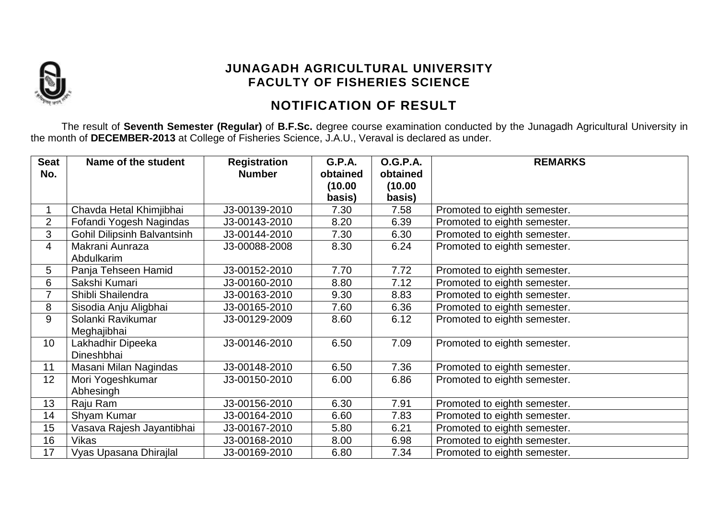

# **NOTIFICATION OF RESULT**

The result of **Seventh Semester (Regular)** of **B.F.Sc.** degree course examination conducted by the Junagadh Agricultural University in the month of **DECEMBER-2013** at College of Fisheries Science, J.A.U., Veraval is declared as under.

| <b>Seat</b>    | Name of the student                | <b>Registration</b> | <b>G.P.A.</b>     | <b>O.G.P.A.</b>   | <b>REMARKS</b>               |
|----------------|------------------------------------|---------------------|-------------------|-------------------|------------------------------|
| No.            |                                    | <b>Number</b>       | obtained          | obtained          |                              |
|                |                                    |                     | (10.00)<br>basis) | (10.00)<br>basis) |                              |
|                | Chavda Hetal Khimjibhai            | J3-00139-2010       | 7.30              | 7.58              | Promoted to eighth semester. |
| $\overline{2}$ | Fofandi Yogesh Nagindas            | J3-00143-2010       | 8.20              | 6.39              | Promoted to eighth semester. |
| 3              | <b>Gohil Dilipsinh Balvantsinh</b> | J3-00144-2010       | 7.30              | 6.30              | Promoted to eighth semester. |
| 4              | Makrani Aunraza                    | J3-00088-2008       | 8.30              | 6.24              | Promoted to eighth semester. |
|                | Abdulkarim                         |                     |                   |                   |                              |
| 5              | Panja Tehseen Hamid                | J3-00152-2010       | 7.70              | 7.72              | Promoted to eighth semester. |
| 6              | Sakshi Kumari                      | J3-00160-2010       | 8.80              | 7.12              | Promoted to eighth semester. |
| 7              | Shibli Shailendra                  | J3-00163-2010       | 9.30              | 8.83              | Promoted to eighth semester. |
| 8              | Sisodia Anju Aligbhai              | J3-00165-2010       | 7.60              | 6.36              | Promoted to eighth semester. |
| 9              | Solanki Ravikumar                  | J3-00129-2009       | 8.60              | 6.12              | Promoted to eighth semester. |
|                | Meghajibhai                        |                     |                   |                   |                              |
| 10             | Lakhadhir Dipeeka                  | J3-00146-2010       | 6.50              | 7.09              | Promoted to eighth semester. |
|                | Dineshbhai                         |                     |                   |                   |                              |
| 11             | Masani Milan Nagindas              | J3-00148-2010       | 6.50              | 7.36              | Promoted to eighth semester. |
| 12             | Mori Yogeshkumar                   | J3-00150-2010       | 6.00              | 6.86              | Promoted to eighth semester. |
|                | Abhesingh                          |                     |                   |                   |                              |
| 13             | Raju Ram                           | J3-00156-2010       | 6.30              | 7.91              | Promoted to eighth semester. |
| 14             | Shyam Kumar                        | J3-00164-2010       | 6.60              | 7.83              | Promoted to eighth semester. |
| 15             | Vasava Rajesh Jayantibhai          | J3-00167-2010       | 5.80              | 6.21              | Promoted to eighth semester. |
| 16             | Vikas                              | J3-00168-2010       | 8.00              | 6.98              | Promoted to eighth semester. |
| 17             | Vyas Upasana Dhirajlal             | J3-00169-2010       | 6.80              | 7.34              | Promoted to eighth semester. |